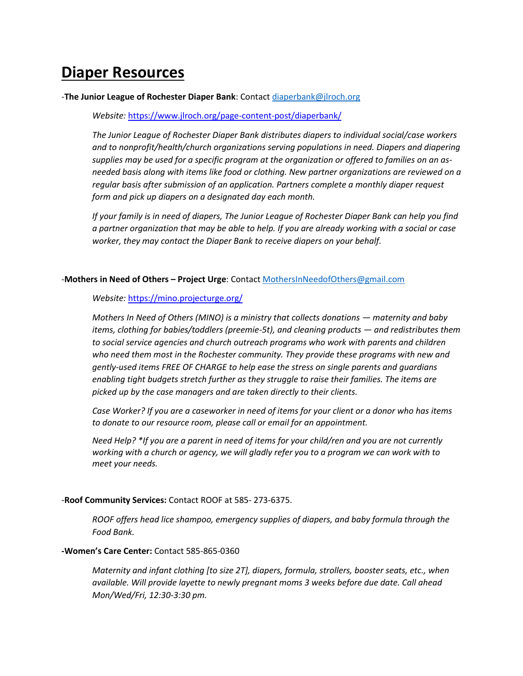# **Diaper Resources**

#### -**The Junior League of Rochester Diaper Bank**: Contac[t diaperbank@jlroch.org](mailto:diaperbank@jlroch.org)

*Website:* <https://www.jlroch.org/page-content-post/diaperbank/>

*The Junior League of Rochester Diaper Bank distributes diapers to individual social/case workers and to nonprofit/health/church organizations serving populations in need. Diapers and diapering supplies may be used for a specific program at the organization or offered to families on an asneeded basis along with items like food or clothing. New partner organizations are reviewed on a regular basis after submission of an application. Partners complete a monthly diaper request form and pick up diapers on a designated day each month.*

*If your family is in need of diapers, The Junior League of Rochester Diaper Bank can help you find a partner organization that may be able to help. If you are already working with a social or case worker, they may contact the Diaper Bank to receive diapers on your behalf.*

#### -**Mothers in Need of Others – Project Urge**: Contac[t MothersInNeedofOthers@gmail.com](mailto:MothersInNeedofOthers@gmail.com)

#### *Website:* <https://mino.projecturge.org/>

*Mothers In Need of Others (MINO) is a ministry that collects donations — maternity and baby items, clothing for babies/toddlers (preemie-5t), and cleaning products — and redistributes them to social service agencies and church outreach programs who work with parents and children who need them most in the Rochester community. They provide these programs with new and gently-used items FREE OF CHARGE to help ease the stress on single parents and guardians enabling tight budgets stretch further as they struggle to raise their families. The items are picked up by the case managers and are taken directly to their clients.*

*Case Worker? If you are a caseworker in need of items for your client or a donor who has items to donate to our resource room, please call or email for an appointment.*

*Need Help? \*If you are a parent in need of items for your child/ren and you are not currently working with a church or agency, we will gladly refer you to a program we can work with to meet your needs.*

#### -**Roof Community Services:** Contact ROOF at 585- 273-6375.

*ROOF offers head lice shampoo, emergency supplies of diapers, and baby formula through the Food Bank.*

#### **-Women's Care Center:** Contact 585-865-0360

*Maternity and infant clothing [to size 2T], diapers, formula, strollers, booster seats, etc., when available. Will provide layette to newly pregnant moms 3 weeks before due date. Call ahead Mon/Wed/Fri, 12:30-3:30 pm.*